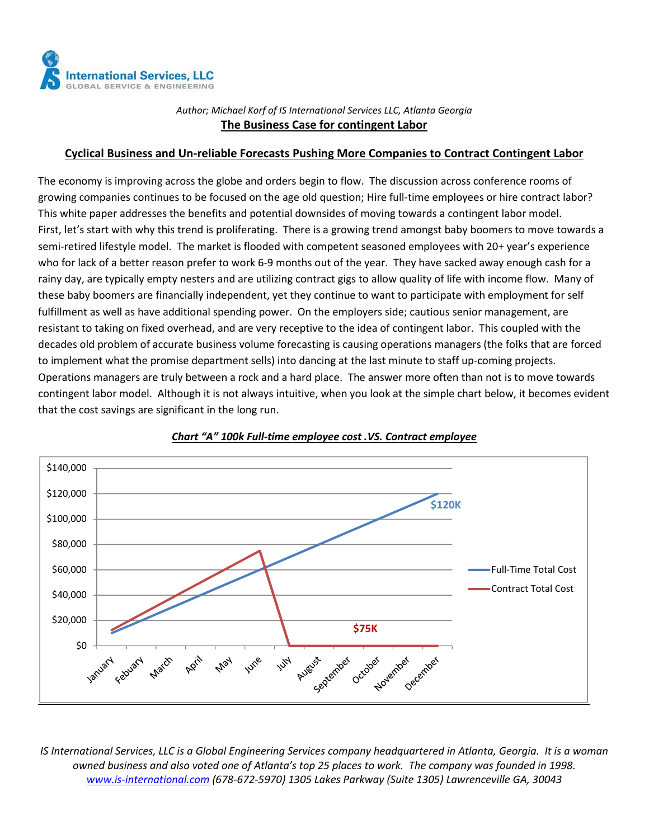

Author; Michael Korf of IS International Services LLC, Atlanta Georgia The Business Case for contingent Labor

#### Cyclical Business and Un-reliable Forecasts Pushing More Companies to Contract Contingent Labor

The economy is improving across the globe and orders begin to flow. The discussion across conference rooms of growing companies continues to be focused on the age old question; Hire full-time employees or hire contract labor? This white paper addresses the benefits and potential downsides of moving towards a contingent labor model. First, let's start with why this trend is proliferating. There is a growing trend amongst baby boomers to move towards a semi-retired lifestyle model. The market is flooded with competent seasoned employees with 20+ year's experience who for lack of a better reason prefer to work 6-9 months out of the year. They have sacked away enough cash for a rainy day, are typically empty nesters and are utilizing contract gigs to allow quality of life with income flow. Many of these baby boomers are financially independent, yet they continue to want to participate with employment for self fulfillment as well as have additional spending power. On the employers side; cautious senior management, are resistant to taking on fixed overhead, and are very receptive to the idea of contingent labor. This coupled with the decades old problem of accurate business volume forecasting is causing operations managers (the folks that are forced to implement what the promise department sells) into dancing at the last minute to staff up-coming projects. Operations managers are truly between a rock and a hard place. The answer more often than not is to move towards contingent labor model. Although it is not always intuitive, when you look at the simple chart below, it becomes evident that the cost savings are significant in the long run.



Chart "A" 100k Full-time employee cost .VS. Contract employee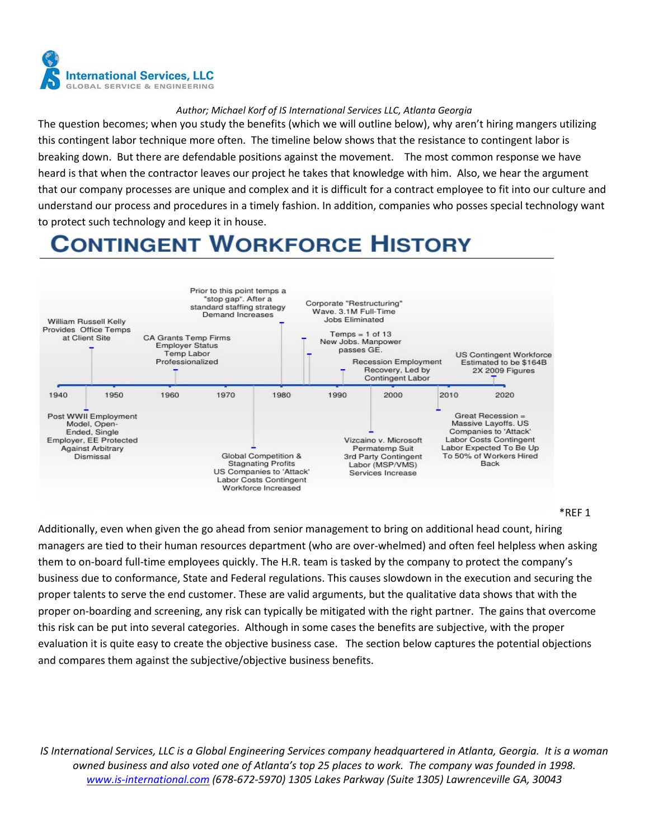

The question becomes; when you study the benefits (which we will outline below), why aren't hiring mangers utilizing this contingent labor technique more often. The timeline below shows that the resistance to contingent labor is breaking down. But there are defendable positions against the movement. The most common response we have heard is that when the contractor leaves our project he takes that knowledge with him. Also, we hear the argument that our company processes are unique and complex and it is difficult for a contract employee to fit into our culture and understand our process and procedures in a timely fashion. In addition, companies who posses special technology want to protect such technology and keep it in house.

## **CONTINGENT WORKFORCE HISTORY**



\*REF 1

Additionally, even when given the go ahead from senior management to bring on additional head count, hiring managers are tied to their human resources department (who are over-whelmed) and often feel helpless when asking them to on-board full-time employees quickly. The H.R. team is tasked by the company to protect the company's business due to conformance, State and Federal regulations. This causes slowdown in the execution and securing the proper talents to serve the end customer. These are valid arguments, but the qualitative data shows that with the proper on-boarding and screening, any risk can typically be mitigated with the right partner. The gains that overcome this risk can be put into several categories. Although in some cases the benefits are subjective, with the proper evaluation it is quite easy to create the objective business case. The section below captures the potential objections and compares them against the subjective/objective business benefits.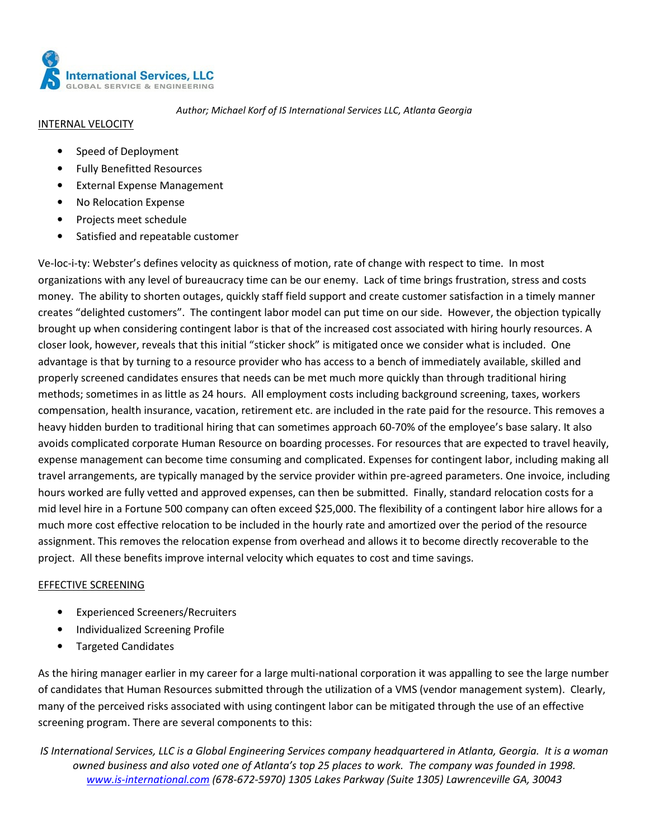

#### INTERNAL VELOCITY

- Speed of Deployment
- Fully Benefitted Resources
- External Expense Management
- No Relocation Expense
- Projects meet schedule
- Satisfied and repeatable customer

Ve-loc-i-ty: Webster's defines velocity as quickness of motion, rate of change with respect to time. In most organizations with any level of bureaucracy time can be our enemy. Lack of time brings frustration, stress and costs money. The ability to shorten outages, quickly staff field support and create customer satisfaction in a timely manner creates "delighted customers". The contingent labor model can put time on our side. However, the objection typically brought up when considering contingent labor is that of the increased cost associated with hiring hourly resources. A closer look, however, reveals that this initial "sticker shock" is mitigated once we consider what is included. One advantage is that by turning to a resource provider who has access to a bench of immediately available, skilled and properly screened candidates ensures that needs can be met much more quickly than through traditional hiring methods; sometimes in as little as 24 hours. All employment costs including background screening, taxes, workers compensation, health insurance, vacation, retirement etc. are included in the rate paid for the resource. This removes a heavy hidden burden to traditional hiring that can sometimes approach 60-70% of the employee's base salary. It also avoids complicated corporate Human Resource on boarding processes. For resources that are expected to travel heavily, expense management can become time consuming and complicated. Expenses for contingent labor, including making all travel arrangements, are typically managed by the service provider within pre-agreed parameters. One invoice, including hours worked are fully vetted and approved expenses, can then be submitted. Finally, standard relocation costs for a mid level hire in a Fortune 500 company can often exceed \$25,000. The flexibility of a contingent labor hire allows for a much more cost effective relocation to be included in the hourly rate and amortized over the period of the resource assignment. This removes the relocation expense from overhead and allows it to become directly recoverable to the project. All these benefits improve internal velocity which equates to cost and time savings.

#### EFFECTIVE SCREENING

- Experienced Screeners/Recruiters
- Individualized Screening Profile
- Targeted Candidates

As the hiring manager earlier in my career for a large multi-national corporation it was appalling to see the large number of candidates that Human Resources submitted through the utilization of a VMS (vendor management system). Clearly, many of the perceived risks associated with using contingent labor can be mitigated through the use of an effective screening program. There are several components to this: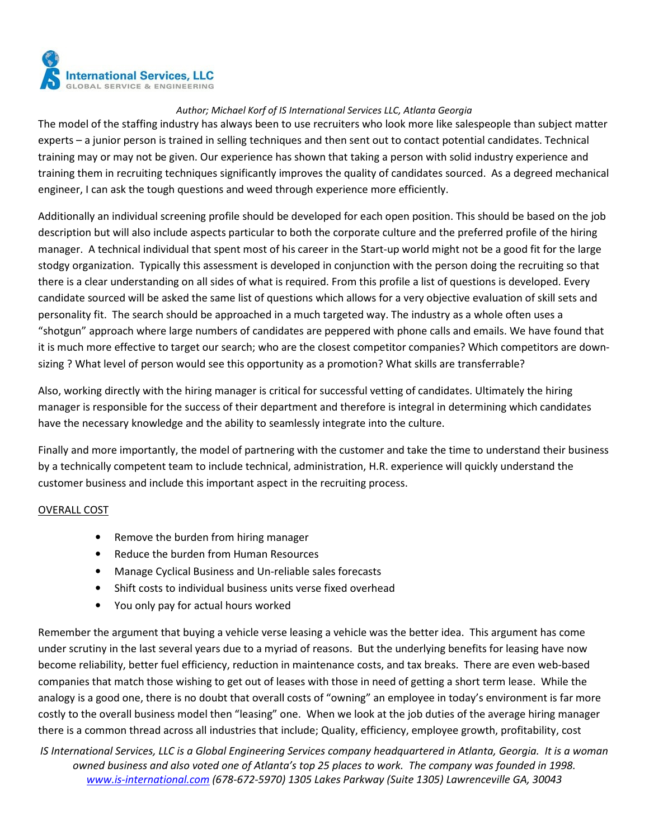

The model of the staffing industry has always been to use recruiters who look more like salespeople than subject matter experts – a junior person is trained in selling techniques and then sent out to contact potential candidates. Technical training may or may not be given. Our experience has shown that taking a person with solid industry experience and training them in recruiting techniques significantly improves the quality of candidates sourced. As a degreed mechanical engineer, I can ask the tough questions and weed through experience more efficiently.

Additionally an individual screening profile should be developed for each open position. This should be based on the job description but will also include aspects particular to both the corporate culture and the preferred profile of the hiring manager. A technical individual that spent most of his career in the Start-up world might not be a good fit for the large stodgy organization. Typically this assessment is developed in conjunction with the person doing the recruiting so that there is a clear understanding on all sides of what is required. From this profile a list of questions is developed. Every candidate sourced will be asked the same list of questions which allows for a very objective evaluation of skill sets and personality fit. The search should be approached in a much targeted way. The industry as a whole often uses a "shotgun" approach where large numbers of candidates are peppered with phone calls and emails. We have found that it is much more effective to target our search; who are the closest competitor companies? Which competitors are downsizing ? What level of person would see this opportunity as a promotion? What skills are transferrable?

Also, working directly with the hiring manager is critical for successful vetting of candidates. Ultimately the hiring manager is responsible for the success of their department and therefore is integral in determining which candidates have the necessary knowledge and the ability to seamlessly integrate into the culture.

Finally and more importantly, the model of partnering with the customer and take the time to understand their business by a technically competent team to include technical, administration, H.R. experience will quickly understand the customer business and include this important aspect in the recruiting process.

#### OVERALL COST

- Remove the burden from hiring manager
- Reduce the burden from Human Resources
- Manage Cyclical Business and Un-reliable sales forecasts
- Shift costs to individual business units verse fixed overhead
- You only pay for actual hours worked

Remember the argument that buying a vehicle verse leasing a vehicle was the better idea. This argument has come under scrutiny in the last several years due to a myriad of reasons. But the underlying benefits for leasing have now become reliability, better fuel efficiency, reduction in maintenance costs, and tax breaks. There are even web-based companies that match those wishing to get out of leases with those in need of getting a short term lease. While the analogy is a good one, there is no doubt that overall costs of "owning" an employee in today's environment is far more costly to the overall business model then "leasing" one. When we look at the job duties of the average hiring manager there is a common thread across all industries that include; Quality, efficiency, employee growth, profitability, cost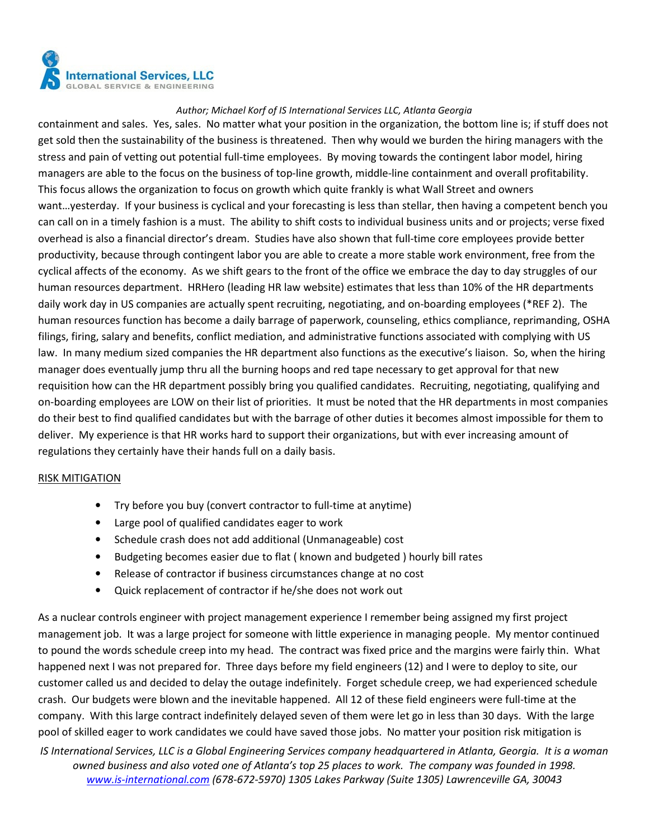

containment and sales. Yes, sales. No matter what your position in the organization, the bottom line is; if stuff does not get sold then the sustainability of the business is threatened. Then why would we burden the hiring managers with the stress and pain of vetting out potential full-time employees. By moving towards the contingent labor model, hiring managers are able to the focus on the business of top-line growth, middle-line containment and overall profitability. This focus allows the organization to focus on growth which quite frankly is what Wall Street and owners want…yesterday. If your business is cyclical and your forecasting is less than stellar, then having a competent bench you can call on in a timely fashion is a must. The ability to shift costs to individual business units and or projects; verse fixed overhead is also a financial director's dream. Studies have also shown that full-time core employees provide better productivity, because through contingent labor you are able to create a more stable work environment, free from the cyclical affects of the economy. As we shift gears to the front of the office we embrace the day to day struggles of our human resources department. HRHero (leading HR law website) estimates that less than 10% of the HR departments daily work day in US companies are actually spent recruiting, negotiating, and on-boarding employees (\*REF 2). The human resources function has become a daily barrage of paperwork, counseling, ethics compliance, reprimanding, OSHA filings, firing, salary and benefits, conflict mediation, and administrative functions associated with complying with US law. In many medium sized companies the HR department also functions as the executive's liaison. So, when the hiring manager does eventually jump thru all the burning hoops and red tape necessary to get approval for that new requisition how can the HR department possibly bring you qualified candidates. Recruiting, negotiating, qualifying and on-boarding employees are LOW on their list of priorities. It must be noted that the HR departments in most companies do their best to find qualified candidates but with the barrage of other duties it becomes almost impossible for them to deliver. My experience is that HR works hard to support their organizations, but with ever increasing amount of regulations they certainly have their hands full on a daily basis.

#### RISK MITIGATION

- Try before you buy (convert contractor to full-time at anytime)
- Large pool of qualified candidates eager to work
- Schedule crash does not add additional (Unmanageable) cost
- Budgeting becomes easier due to flat ( known and budgeted ) hourly bill rates
- Release of contractor if business circumstances change at no cost
- Quick replacement of contractor if he/she does not work out

As a nuclear controls engineer with project management experience I remember being assigned my first project management job. It was a large project for someone with little experience in managing people. My mentor continued to pound the words schedule creep into my head. The contract was fixed price and the margins were fairly thin. What happened next I was not prepared for. Three days before my field engineers (12) and I were to deploy to site, our customer called us and decided to delay the outage indefinitely. Forget schedule creep, we had experienced schedule crash. Our budgets were blown and the inevitable happened. All 12 of these field engineers were full-time at the company. With this large contract indefinitely delayed seven of them were let go in less than 30 days. With the large pool of skilled eager to work candidates we could have saved those jobs. No matter your position risk mitigation is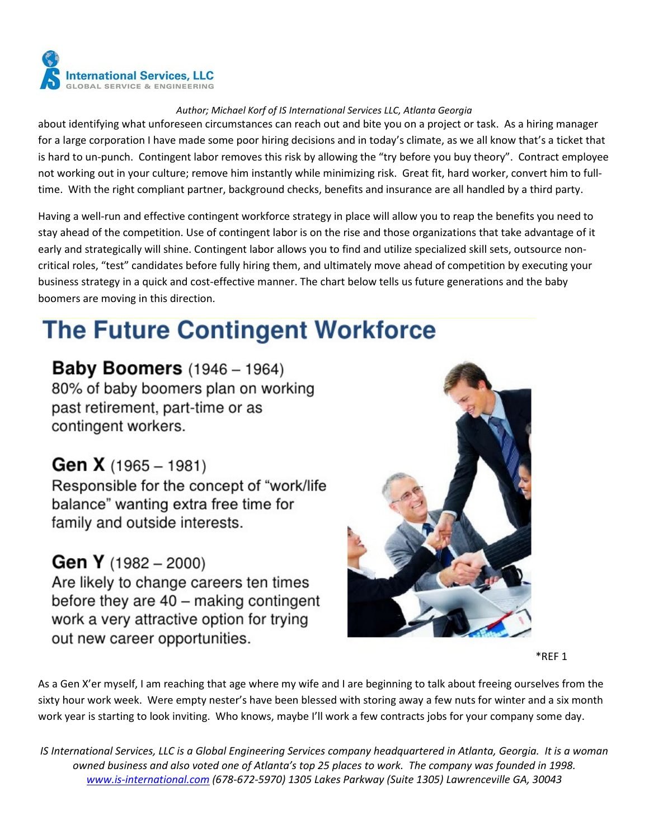

about identifying what unforeseen circumstances can reach out and bite you on a project or task. As a hiring manager for a large corporation I have made some poor hiring decisions and in today's climate, as we all know that's a ticket that is hard to un-punch. Contingent labor removes this risk by allowing the "try before you buy theory". Contract employee not working out in your culture; remove him instantly while minimizing risk. Great fit, hard worker, convert him to fulltime. With the right compliant partner, background checks, benefits and insurance are all handled by a third party.

Having a well-run and effective contingent workforce strategy in place will allow you to reap the benefits you need to stay ahead of the competition. Use of contingent labor is on the rise and those organizations that take advantage of it early and strategically will shine. Contingent labor allows you to find and utilize specialized skill sets, outsource noncritical roles, "test" candidates before fully hiring them, and ultimately move ahead of competition by executing your business strategy in a quick and cost-effective manner. The chart below tells us future generations and the baby boomers are moving in this direction.

# **The Future Contingent Workforce**

**Baby Boomers** (1946 - 1964) 80% of baby boomers plan on working past retirement, part-time or as contingent workers.

## **Gen X** (1965 - 1981)

Responsible for the concept of "work/life balance" wanting extra free time for family and outside interests.

### **Gen Y** (1982 – 2000)

Are likely to change careers ten times before they are  $40 -$  making contingent work a very attractive option for trying out new career opportunities.



\*REF 1

As a Gen X'er myself, I am reaching that age where my wife and I are beginning to talk about freeing ourselves from the sixty hour work week. Were empty nester's have been blessed with storing away a few nuts for winter and a six month work year is starting to look inviting. Who knows, maybe I'll work a few contracts jobs for your company some day.